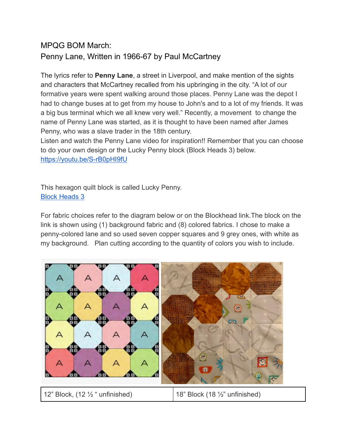## MPQG BOM March: Penny Lane, Written in 1966-67 by Paul McCartney

The lyrics refer to **Penny Lane**, a street in Liverpool, and make mention of the sights and characters that McCartney recalled from his upbringing in the city. "A lot of our formative years were spent walking around those places. Penny Lane was the depot I had to change buses at to get from my house to John's and to a lot of my friends. It was a big bus terminal which we all knew very well." Recently, a movement to change the name of Penny Lane was started, as it is thought to have been named after James Penny, who was a slave trader in the 18th century.

Listen and watch the Penny Lane video for inspiration!! Remember that you can choose to do your own design or the Lucky Penny block (Block Heads 3) below. <https://youtu.be/S-rB0pHI9fU>

This hexagon quilt block is called Lucky Penny. [Block Heads 3](https://bearcreekquiltingcompany.com/media/uploads/2020/06/18/files/BH3_23_Vanessa-Goertzen_Lucky-Penny.pdf)

For fabric choices refer to the diagram below or on the Blockhead link.The block on the link is shown using (1) background fabric and (8) colored fabrics. I chose to make a penny-colored lane and so used seven copper squares and 9 grey ones, with white as my background. Plan cutting according to the quantity of colors you wish to include.